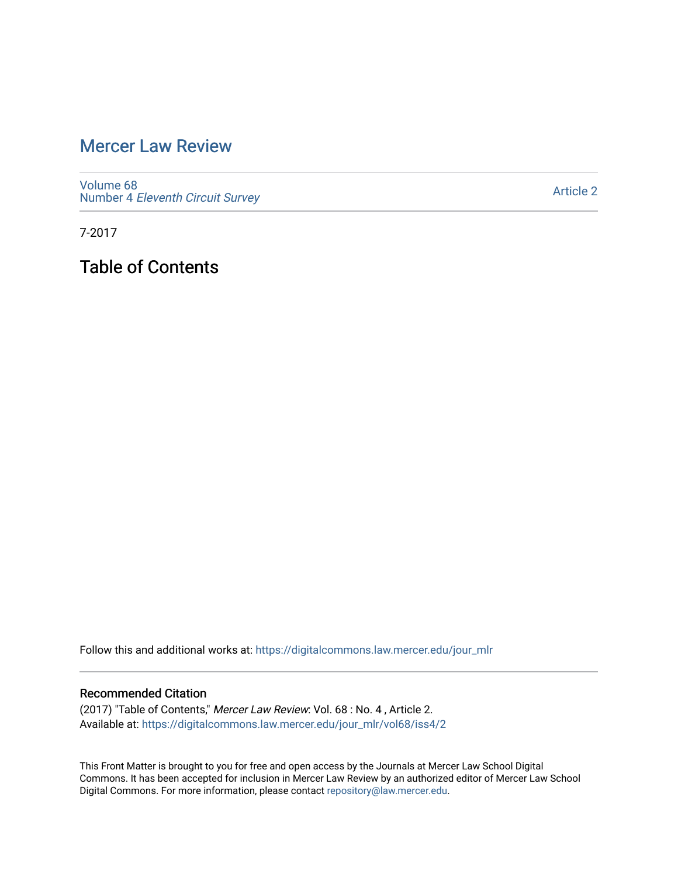## [Mercer Law Review](https://digitalcommons.law.mercer.edu/jour_mlr)

[Volume 68](https://digitalcommons.law.mercer.edu/jour_mlr/vol68) Number 4 [Eleventh Circuit Survey](https://digitalcommons.law.mercer.edu/jour_mlr/vol68/iss4) 

[Article 2](https://digitalcommons.law.mercer.edu/jour_mlr/vol68/iss4/2) 

7-2017

Table of Contents

Follow this and additional works at: [https://digitalcommons.law.mercer.edu/jour\\_mlr](https://digitalcommons.law.mercer.edu/jour_mlr?utm_source=digitalcommons.law.mercer.edu%2Fjour_mlr%2Fvol68%2Fiss4%2F2&utm_medium=PDF&utm_campaign=PDFCoverPages)

#### Recommended Citation

(2017) "Table of Contents," Mercer Law Review: Vol. 68 : No. 4 , Article 2. Available at: [https://digitalcommons.law.mercer.edu/jour\\_mlr/vol68/iss4/2](https://digitalcommons.law.mercer.edu/jour_mlr/vol68/iss4/2?utm_source=digitalcommons.law.mercer.edu%2Fjour_mlr%2Fvol68%2Fiss4%2F2&utm_medium=PDF&utm_campaign=PDFCoverPages)

This Front Matter is brought to you for free and open access by the Journals at Mercer Law School Digital Commons. It has been accepted for inclusion in Mercer Law Review by an authorized editor of Mercer Law School Digital Commons. For more information, please contact [repository@law.mercer.edu](mailto:repository@law.mercer.edu).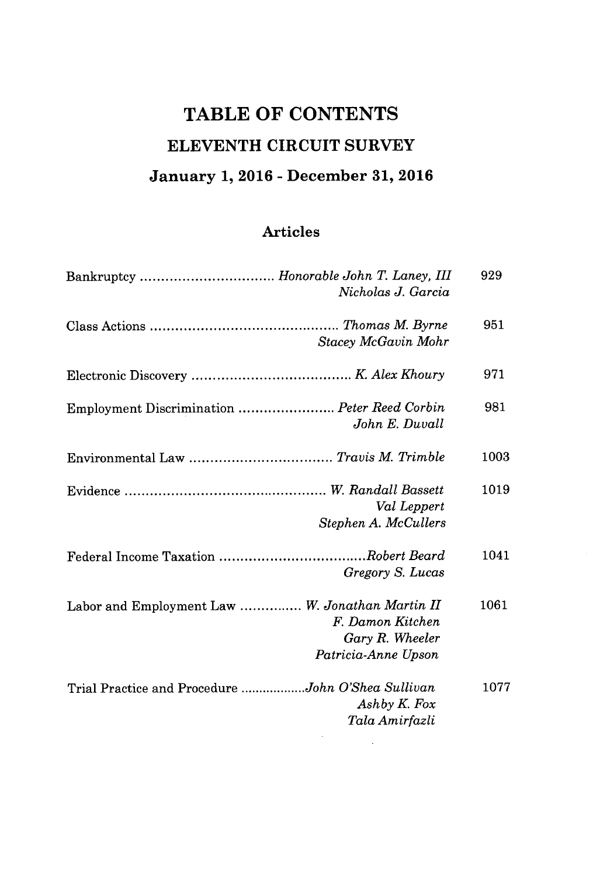# **TABLE OF CONTENTS ELEVENTH CIRCUIT SURVEY January 1, 2016 - December 31, 2016**

## **Articles**

| Bankruptcy  Honorable John T. Laney, III<br>Nicholas J. Garcia                                                | 929  |
|---------------------------------------------------------------------------------------------------------------|------|
| Stacey McGavin Mohr                                                                                           | 951  |
|                                                                                                               | 971  |
| Employment Discrimination  Peter Reed Corbin<br>John E. Duvall                                                | 981  |
|                                                                                                               | 1003 |
| Val Leppert<br>Stephen A. McCullers                                                                           | 1019 |
| Gregory S. Lucas                                                                                              | 1041 |
| Labor and Employment Law  W. Jonathan Martin II<br>F. Damon Kitchen<br>Gary R. Wheeler<br>Patricia-Anne Upson | 1061 |
| Trial Practice and Procedure John O'Shea Sullivan<br>Ashby K. Fox<br>Tala Amirfazli                           | 1077 |